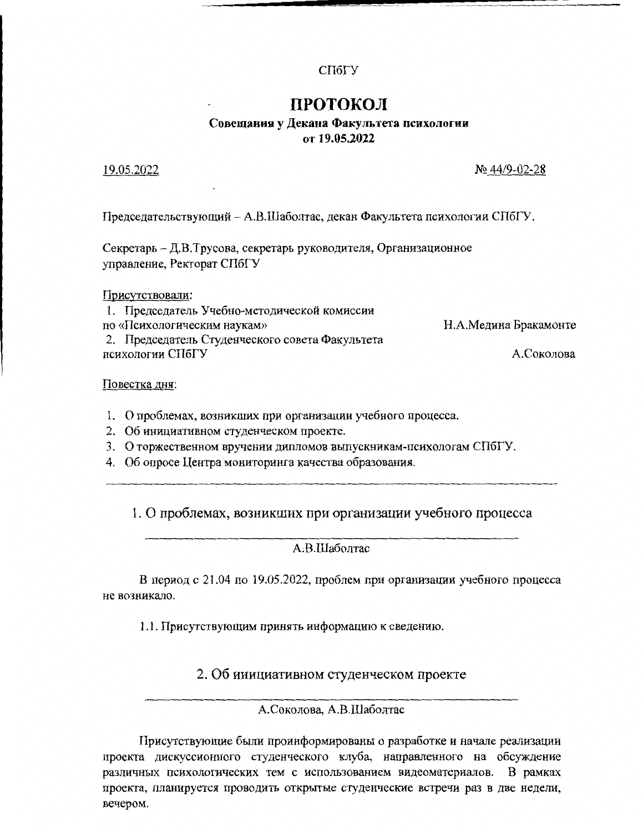### СПбГУ

# ПРОТОКОЛ

# Совещания у Декана Факультета психологии от 19.05.2022

19.05.2022

№ 44/9-02-28

Председательствующий – А.В.Шаболтас, декан Факультета психологии СПбГУ.

Секретарь - Д.В.Трусова, секретарь руководителя, Организационное управление, Ректорат СПбГУ

Присутствовали:

| 1. Председатель Учебно-методической комиссии    |                       |
|-------------------------------------------------|-----------------------|
| по «Психологическим наукам»                     | Н.А.Медина Бракамонте |
| 2. Председатель Студенческого совета Факультета |                       |
| психологии СПбГУ                                | А.Соколова            |

Повестка дня:

- 1. О проблемах, возникших при организации учебного процесса.
- 2. Об инициативном студенческом проекте.
- 3. О торжественном вручении дипломов выпускникам-психологам СПбГУ.
- 4. Об опросе Центра мониторинга качества образования.

## 1. О проблемах, возникших при организации учебного процесса

### A.B.IIIаболтас

В период с 21.04 по 19.05.2022, проблем при организации учебного процесса не возникало.

1.1. Присутствующим принять информацию к сведению.

### 2. Об инициативном студенческом проекте

### А.Соколова, А.В.Шаболтас

Присутствующие были проинформированы о разработке и начале реализации проекта дискуссионного студенческого клуба, направленного на обсуждение различных психологических тем с использованием видеоматериалов. В рамках проекта, планируется проводить открытые студенческие встречи раз в две недели, вечером.